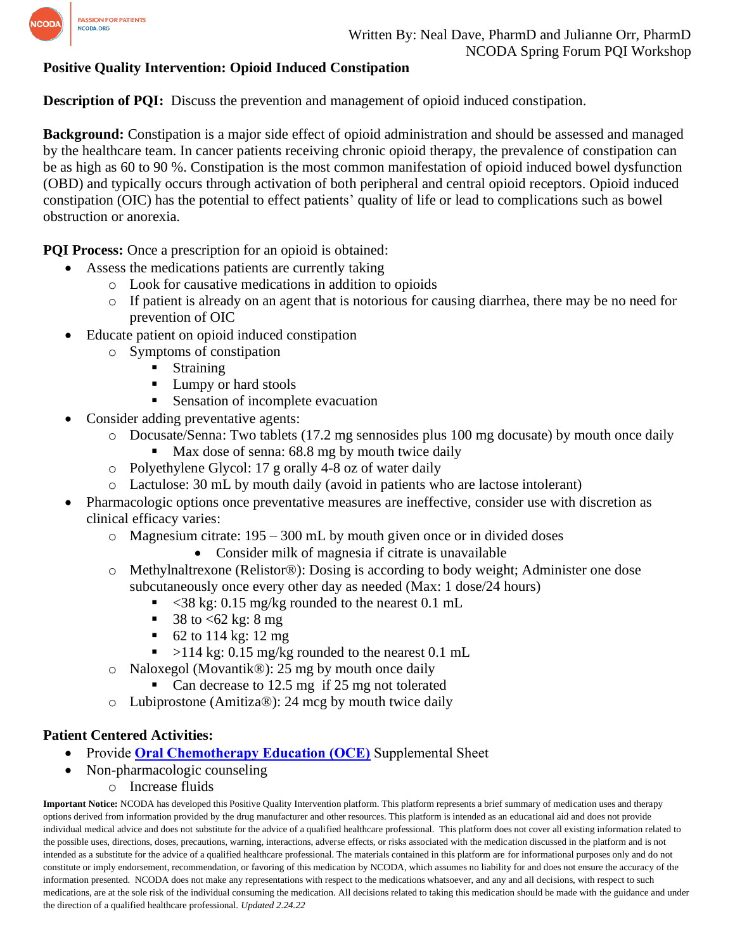

## **Positive Quality Intervention: Opioid Induced Constipation**

**Description of POI:** Discuss the prevention and management of opioid induced constipation.

**Background:** Constipation is a major side effect of opioid administration and should be assessed and managed by the healthcare team. In cancer patients receiving chronic opioid therapy, the prevalence of constipation can be as high as 60 to 90 %. Constipation is the most common manifestation of opioid induced bowel dysfunction (OBD) and typically occurs through activation of both peripheral and central opioid receptors. Opioid induced constipation (OIC) has the potential to effect patients' quality of life or lead to complications such as bowel obstruction or anorexia.

**PQI Process:** Once a prescription for an opioid is obtained:

- Assess the medications patients are currently taking
	- o Look for causative medications in addition to opioids
	- o If patient is already on an agent that is notorious for causing diarrhea, there may be no need for prevention of OIC
- Educate patient on opioid induced constipation
	- o Symptoms of constipation
		- **Straining**
		- Lumpy or hard stools
		- Sensation of incomplete evacuation
- Consider adding preventative agents:
	- o Docusate/Senna: Two tablets (17.2 mg sennosides plus 100 mg docusate) by mouth once daily Max dose of senna: 68.8 mg by mouth twice daily
	- o Polyethylene Glycol: 17 g orally 4-8 oz of water daily
	- o Lactulose: 30 mL by mouth daily (avoid in patients who are lactose intolerant)
- Pharmacologic options once preventative measures are ineffective, consider use with discretion as clinical efficacy varies:
	- $\circ$  Magnesium citrate: 195 300 mL by mouth given once or in divided doses
		- Consider milk of magnesia if citrate is unavailable
	- o Methylnaltrexone (Relistor®): Dosing is according to body weight; Administer one dose subcutaneously once every other day as needed (Max: 1 dose/24 hours)
		- $\langle$  <38 kg: 0.15 mg/kg rounded to the nearest 0.1 mL
		- 38 to  $<62$  kg: 8 mg
		- $\blacksquare$  62 to 114 kg: 12 mg
		- $>$ 114 kg: 0.15 mg/kg rounded to the nearest 0.1 mL
	- o Naloxegol (Movantik®): 25 mg by mouth once daily
		- Can decrease to 12.5 mg if 25 mg not tolerated
	- o Lubiprostone (Amitiza®): 24 mcg by mouth twice daily

## **Patient Centered Activities:**

- Provide **[Oral Chemotherapy Education \(OCE\)](https://www.ncoda.org/wp-content/uploads/2021/03/constipation_supplemental-1.pdf)** Supplemental Sheet
- Non-pharmacologic counseling
	- o Increase fluids

**Important Notice:** NCODA has developed this Positive Quality Intervention platform. This platform represents a brief summary of medication uses and therapy options derived from information provided by the drug manufacturer and other resources. This platform is intended as an educational aid and does not provide individual medical advice and does not substitute for the advice of a qualified healthcare professional. This platform does not cover all existing information related to the possible uses, directions, doses, precautions, warning, interactions, adverse effects, or risks associated with the medication discussed in the platform and is not intended as a substitute for the advice of a qualified healthcare professional. The materials contained in this platform are for informational purposes only and do not constitute or imply endorsement, recommendation, or favoring of this medication by NCODA, which assumes no liability for and does not ensure the accuracy of the information presented. NCODA does not make any representations with respect to the medications whatsoever, and any and all decisions, with respect to such medications, are at the sole risk of the individual consuming the medication. All decisions related to taking this medication should be made with the guidance and under the direction of a qualified healthcare professional. *Updated 2.24.22*